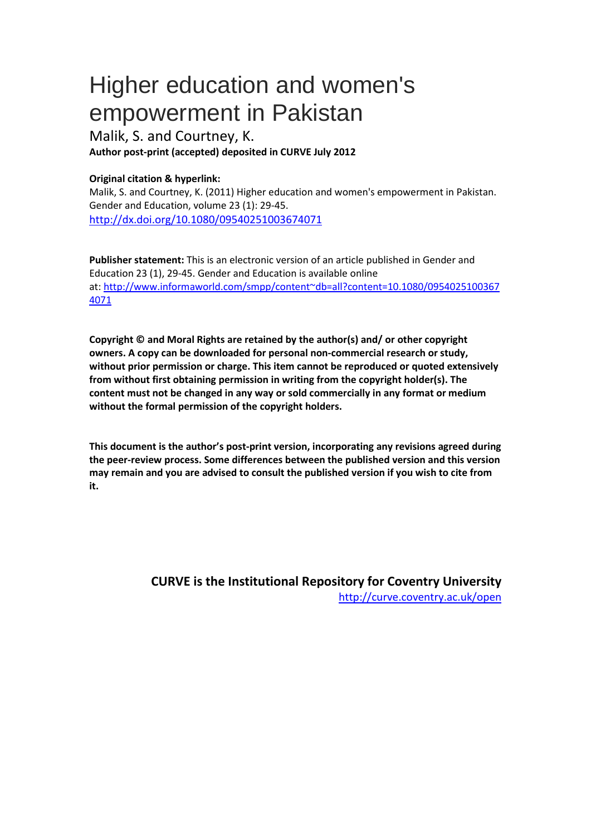# Higher education and women's empowerment in Pakistan

Malik, S. and Courtney, K. **Author post-print (accepted) deposited in CURVE July 2012**

### **Original citation & hyperlink:**

Malik, S. and Courtney, K. (2011) Higher education and women's empowerment in Pakistan. Gender and Education, volume 23 (1): 29-45. http://dx.doi.org/10.1080/09540251003674071

**Publisher statement:** This is an electronic version of an article published in Gender and Education 23 (1), 29-45. Gender and Education is available online at: http://www.informaworld.com/smpp/content~db=all?content=10.1080/0954025100367 4071

**Copyright © and Moral Rights are retained by the author(s) and/ or other copyright [owners. A copy can be downloaded for personal non](http://dx.doi.org/10.1080/09540251003674071)-commercial research or study, without prior permission or charge. This item cannot be reproduced or quoted extensively from without first obtaining permission in writing from the copyright holder(s). The content must not be changed in any way or sold commercially in any format or medium without the formal permission of the copyright holders.** 

**[Thi](http://www.informaworld.com/smpp/content~db=all?content=10.1080/09540251003674071)s document is the author's post-print version, incorporating any revisions agreed during the peer-review process. Some differences between the published version and this version may remain and you are advised to consult the published version if you wish to cite from it.** 

> **CURVE is the Institutional Repository for Coventry University** http://curve.coventry.ac.uk/open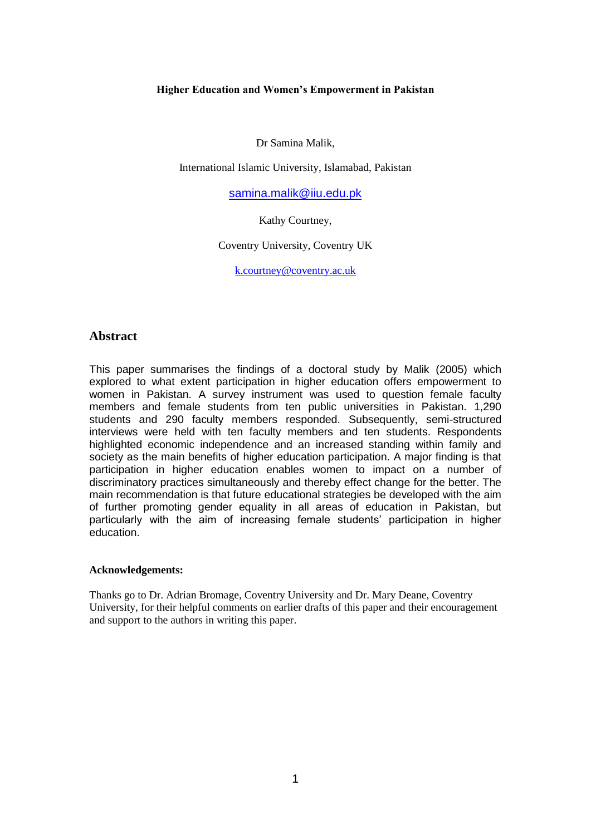### **Higher Education and Women's Empowerment in Pakistan**

Dr Samina Malik,

International Islamic University, Islamabad, Pakistan

[samina.malik@iiu.edu.pk](mailto:samina.malik@iiu.edu.pk)

Kathy Courtney,

Coventry University, Coventry UK

[k.courtney@coventry.ac.uk](mailto:k.courtney@coventry.ac.uk)

### **Abstract**

This paper summarises the findings of a doctoral study by Malik (2005) which explored to what extent participation in higher education offers empowerment to women in Pakistan. A survey instrument was used to question female faculty members and female students from ten public universities in Pakistan. 1,290 students and 290 faculty members responded. Subsequently, semi-structured interviews were held with ten faculty members and ten students. Respondents highlighted economic independence and an increased standing within family and society as the main benefits of higher education participation. A major finding is that participation in higher education enables women to impact on a number of discriminatory practices simultaneously and thereby effect change for the better. The main recommendation is that future educational strategies be developed with the aim of further promoting gender equality in all areas of education in Pakistan, but particularly with the aim of increasing female students' participation in higher education.

### **Acknowledgements:**

Thanks go to Dr. Adrian Bromage, Coventry University and Dr. Mary Deane, Coventry University, for their helpful comments on earlier drafts of this paper and their encouragement and support to the authors in writing this paper.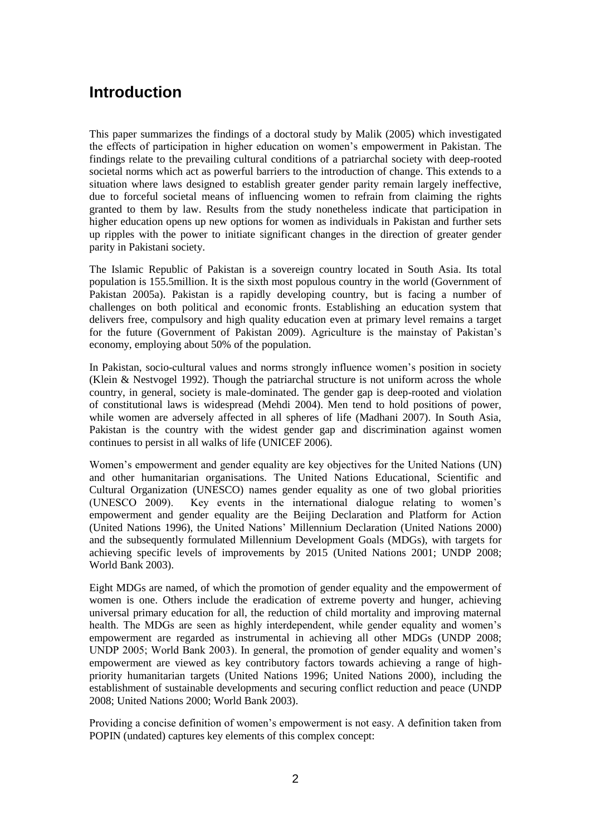### **Introduction**

This paper summarizes the findings of a doctoral study by Malik (2005) which investigated the effects of participation in higher education on women"s empowerment in Pakistan. The findings relate to the prevailing cultural conditions of a patriarchal society with deep-rooted societal norms which act as powerful barriers to the introduction of change. This extends to a situation where laws designed to establish greater gender parity remain largely ineffective, due to forceful societal means of influencing women to refrain from claiming the rights granted to them by law. Results from the study nonetheless indicate that participation in higher education opens up new options for women as individuals in Pakistan and further sets up ripples with the power to initiate significant changes in the direction of greater gender parity in Pakistani society.

The [Islamic Republic](http://en.wikipedia.org/wiki/Islamic_republic) of Pakistan is a [sovereign](http://en.wikipedia.org/wiki/Sovereignty) [country](http://en.wikipedia.org/wiki/Country) located in [South Asia.](http://en.wikipedia.org/wiki/South_Asia) Its total population is 155.5million. It is the [sixth most populous country](http://en.wikipedia.org/wiki/List_of_countries_by_population) in the world (Government of Pakistan 2005a). Pakistan is a rapidly [developing country,](http://en.wikipedia.org/wiki/Developing_country) but is facing a number of challenges on both political and economic fronts. Establishing an education system that delivers free, compulsory and high quality education even at primary level remains a target for the future (Government of Pakistan 2009). Agriculture is the mainstay of Pakistan"s economy, employing about 50% of the population.

In Pakistan, socio-cultural values and norms strongly influence women"s position in society (Klein & Nestvogel 1992). Though the patriarchal structure is not uniform across the whole country, in general, society is male-dominated. The gender gap is deep-rooted and violation of constitutional laws is widespread (Mehdi 2004). Men tend to hold positions of power, while women are adversely affected in all spheres of life (Madhani 2007). In South Asia, Pakistan is the country with the widest gender gap and discrimination against women continues to persist in all walks of life (UNICEF 2006).

Women"s empowerment and gender equality are key objectives for the United Nations (UN) and other humanitarian organisations. The United Nations Educational, Scientific and Cultural Organization (UNESCO) names gender equality as one of two global priorities (UNESCO 2009). Key events in the international dialogue relating to women"s empowerment and gender equality are the Beijing Declaration and Platform for Action (United Nations 1996), the United Nations" Millennium Declaration (United Nations 2000) and the subsequently formulated Millennium Development Goals (MDGs), with targets for achieving specific levels of improvements by 2015 (United Nations 2001; UNDP 2008; World Bank 2003).

Eight MDGs are named, of which the promotion of gender equality and the empowerment of women is one. Others include the eradication of extreme poverty and hunger, achieving universal primary education for all, the reduction of child mortality and improving maternal health. The MDGs are seen as highly interdependent, while gender equality and women's empowerment are regarded as instrumental in achieving all other MDGs (UNDP 2008; UNDP 2005; World Bank 2003). In general, the promotion of gender equality and women"s empowerment are viewed as key contributory factors towards achieving a range of highpriority humanitarian targets (United Nations 1996; United Nations 2000), including the establishment of sustainable developments and securing conflict reduction and peace (UNDP 2008; United Nations 2000; World Bank 2003).

Providing a concise definition of women"s empowerment is not easy. A definition taken from POPIN (undated) captures key elements of this complex concept: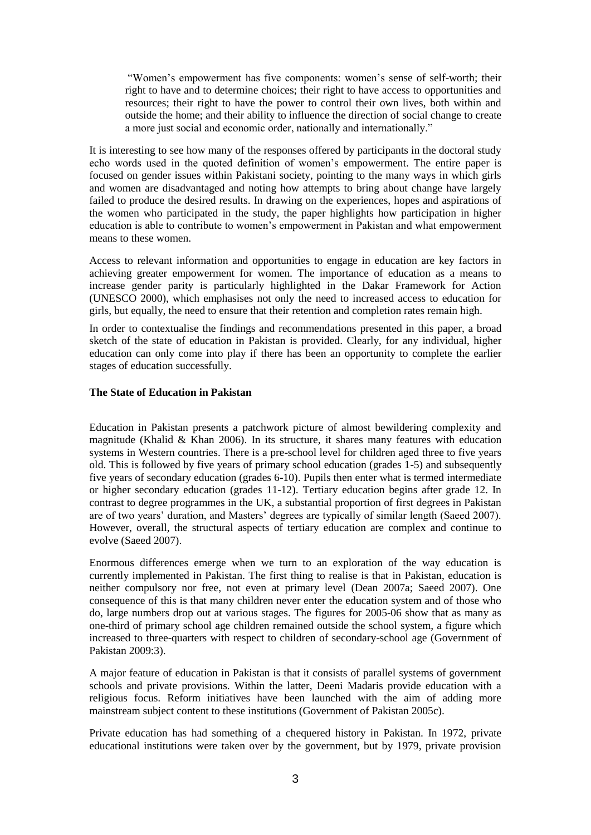"Women"s empowerment has five components: women"s sense of self-worth; their right to have and to determine choices; their right to have access to opportunities and resources; their right to have the power to control their own lives, both within and outside the home; and their ability to influence the direction of social change to create a more just social and economic order, nationally and internationally."

It is interesting to see how many of the responses offered by participants in the doctoral study echo words used in the quoted definition of women"s empowerment. The entire paper is focused on gender issues within Pakistani society, pointing to the many ways in which girls and women are disadvantaged and noting how attempts to bring about change have largely failed to produce the desired results. In drawing on the experiences, hopes and aspirations of the women who participated in the study, the paper highlights how participation in higher education is able to contribute to women"s empowerment in Pakistan and what empowerment means to these women.

Access to relevant information and opportunities to engage in education are key factors in achieving greater empowerment for women. The importance of education as a means to increase gender parity is particularly highlighted in the Dakar Framework for Action (UNESCO 2000), which emphasises not only the need to increased access to education for girls, but equally, the need to ensure that their retention and completion rates remain high.

In order to contextualise the findings and recommendations presented in this paper, a broad sketch of the state of education in Pakistan is provided. Clearly, for any individual, higher education can only come into play if there has been an opportunity to complete the earlier stages of education successfully.

### **The State of Education in Pakistan**

Education in Pakistan presents a patchwork picture of almost bewildering complexity and magnitude (Khalid & Khan 2006). In its structure, it shares many features with education systems in Western countries. There is a pre-school level for children aged three to five years old. This is followed by five years of primary school education (grades  $1-5$ ) and subsequently five years of secondary education (grades 6-10). Pupils then enter what is termed intermediate or higher secondary education (grades 11-12). Tertiary education begins after grade 12. In contrast to degree programmes in the UK, a substantial proportion of first degrees in Pakistan are of two years' duration, and Masters' degrees are typically of similar length (Saeed 2007). However, overall, the structural aspects of tertiary education are complex and continue to evolve (Saeed 2007).

Enormous differences emerge when we turn to an exploration of the way education is currently implemented in Pakistan. The first thing to realise is that in Pakistan, education is neither compulsory nor free, not even at primary level (Dean 2007a; Saeed 2007). One consequence of this is that many children never enter the education system and of those who do, large numbers drop out at various stages. The figures for 2005-06 show that as many as one-third of primary school age children remained outside the school system, a figure which increased to three-quarters with respect to children of secondary-school age (Government of Pakistan 2009:3).

A major feature of education in Pakistan is that it consists of parallel systems of government schools and private provisions. Within the latter, Deeni Madaris provide education with a religious focus. Reform initiatives have been launched with the aim of adding more mainstream subject content to these institutions (Government of Pakistan 2005c).

Private education has had something of a chequered history in Pakistan. In 1972, private educational institutions were taken over by the government, but by 1979, private provision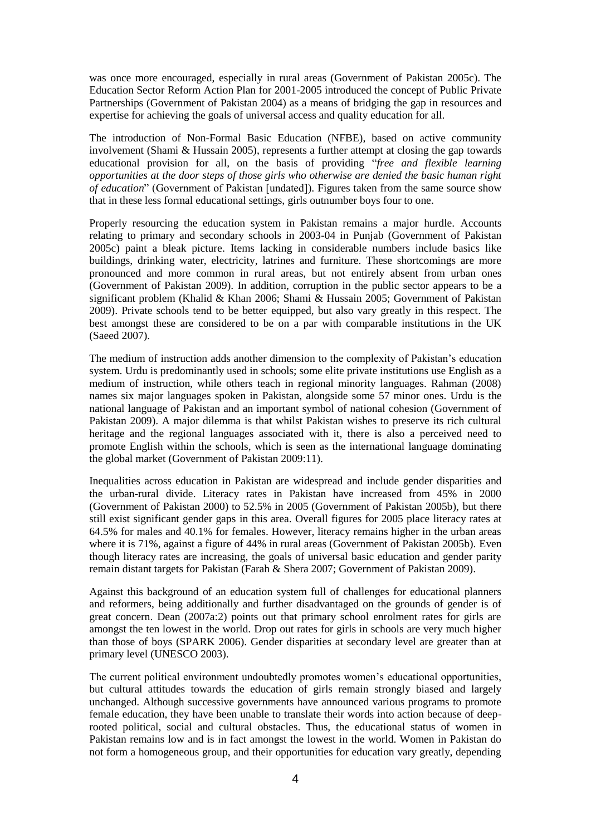was once more encouraged, especially in rural areas (Government of Pakistan 2005c). The Education Sector Reform Action Plan for 2001-2005 introduced the concept of Public Private Partnerships (Government of Pakistan 2004) as a means of bridging the gap in resources and expertise for achieving the goals of universal access and quality education for all.

The introduction of Non-Formal Basic Education (NFBE), based on active community involvement (Shami & Hussain 2005), represents a further attempt at closing the gap towards educational provision for all, on the basis of providing "*free and flexible learning opportunities at the door steps of those girls who otherwise are denied the basic human right of education*" (Government of Pakistan [undated]). Figures taken from the same source show that in these less formal educational settings, girls outnumber boys four to one.

Properly resourcing the education system in Pakistan remains a major hurdle. Accounts relating to primary and secondary schools in 2003-04 in Punjab (Government of Pakistan 2005c) paint a bleak picture. Items lacking in considerable numbers include basics like buildings, drinking water, electricity, latrines and furniture. These shortcomings are more pronounced and more common in rural areas, but not entirely absent from urban ones (Government of Pakistan 2009). In addition, corruption in the public sector appears to be a significant problem (Khalid & Khan 2006; Shami & Hussain 2005; Government of Pakistan 2009). Private schools tend to be better equipped, but also vary greatly in this respect. The best amongst these are considered to be on a par with comparable institutions in the UK (Saeed 2007).

The medium of instruction adds another dimension to the complexity of Pakistan"s education system. Urdu is predominantly used in schools; some elite private institutions use English as a medium of instruction, while others teach in regional minority languages. Rahman (2008) names six major languages spoken in Pakistan, alongside some 57 minor ones. Urdu is the national language of Pakistan and an important symbol of national cohesion (Government of Pakistan 2009). A major dilemma is that whilst Pakistan wishes to preserve its rich cultural heritage and the regional languages associated with it, there is also a perceived need to promote English within the schools, which is seen as the international language dominating the global market (Government of Pakistan 2009:11).

Inequalities across education in Pakistan are widespread and include gender disparities and the urban-rural divide. Literacy rates in Pakistan have increased from 45% in 2000 (Government of Pakistan 2000) to 52.5% in 2005 (Government of Pakistan 2005b), but there still exist significant gender gaps in this area. Overall figures for 2005 place literacy rates at 64.5% for males and 40.1% for females. However, literacy remains higher in the urban areas where it is 71%, against a figure of 44% in rural areas (Government of Pakistan 2005b). Even though literacy rates are increasing, the goals of universal basic education and gender parity remain distant targets for Pakistan (Farah & Shera 2007; Government of Pakistan 2009).

Against this background of an education system full of challenges for educational planners and reformers, being additionally and further disadvantaged on the grounds of gender is of great concern. Dean (2007a:2) points out that primary school enrolment rates for girls are amongst the ten lowest in the world. Drop out rates for girls in schools are very much higher than those of boys (SPARK 2006). Gender disparities at secondary level are greater than at primary level (UNESCO 2003).

The current political environment undoubtedly promotes women"s educational opportunities, but cultural attitudes towards the education of girls remain strongly biased and largely unchanged. Although successive governments have announced various programs to promote female education, they have been unable to translate their words into action because of deeprooted political, social and cultural obstacles. Thus, the educational status of women in Pakistan remains low and is in fact amongst the lowest in the world. Women in Pakistan do not form a homogeneous group, and their opportunities for education vary greatly, depending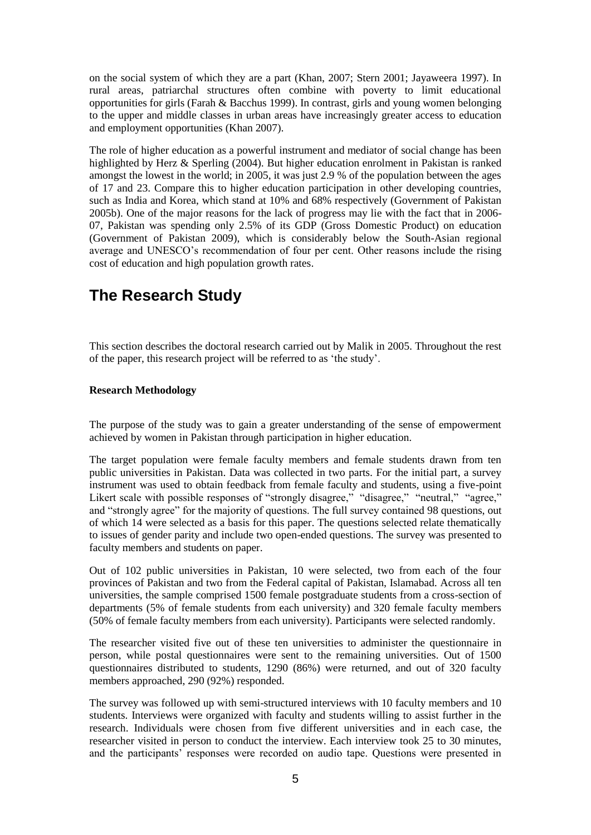on the social system of which they are a part (Khan, 2007; Stern 2001; Jayaweera 1997). In rural areas, patriarchal structures often combine with poverty to limit educational opportunities for girls (Farah & Bacchus 1999). In contrast, girls and young women belonging to the upper and middle classes in urban areas have increasingly greater access to education and employment opportunities (Khan 2007).

The role of higher education as a powerful instrument and mediator of social change has been highlighted by Herz & Sperling (2004). But higher education enrolment in Pakistan is ranked amongst the lowest in the world; in 2005, it was just 2.9 % of the population between the ages of 17 and 23. Compare this to higher education participation in other developing countries, such as India and Korea, which stand at 10% and 68% respectively (Government of Pakistan 2005b). One of the major reasons for the lack of progress may lie with the fact that in 2006- 07, Pakistan was spending only 2.5% of its GDP (Gross Domestic Product) on education (Government of Pakistan 2009), which is considerably below the South-Asian regional average and UNESCO"s recommendation of four per cent. Other reasons include the rising cost of education and high population growth rates.

## **The Research Study**

This section describes the doctoral research carried out by Malik in 2005. Throughout the rest of the paper, this research project will be referred to as "the study".

### **Research Methodology**

The purpose of the study was to gain a greater understanding of the sense of empowerment achieved by women in Pakistan through participation in higher education.

The target population were female faculty members and female students drawn from ten public universities in Pakistan. Data was collected in two parts. For the initial part, a survey instrument was used to obtain feedback from female faculty and students, using a five-point Likert scale with possible responses of "strongly disagree," "disagree," "neutral," "agree," and "strongly agree" for the majority of questions. The full survey contained 98 questions, out of which 14 were selected as a basis for this paper. The questions selected relate thematically to issues of gender parity and include two open-ended questions. The survey was presented to faculty members and students on paper.

Out of 102 public universities in Pakistan, 10 were selected, two from each of the four provinces of Pakistan and two from the Federal capital of Pakistan, Islamabad. Across all ten universities, the sample comprised 1500 female postgraduate students from a cross-section of departments (5% of female students from each university) and 320 female faculty members (50% of female faculty members from each university). Participants were selected randomly.

The researcher visited five out of these ten universities to administer the questionnaire in person, while postal questionnaires were sent to the remaining universities. Out of 1500 questionnaires distributed to students, 1290 (86%) were returned, and out of 320 faculty members approached, 290 (92%) responded.

The survey was followed up with semi-structured interviews with 10 faculty members and 10 students. Interviews were organized with faculty and students willing to assist further in the research. Individuals were chosen from five different universities and in each case, the researcher visited in person to conduct the interview. Each interview took 25 to 30 minutes, and the participants' responses were recorded on audio tape. Questions were presented in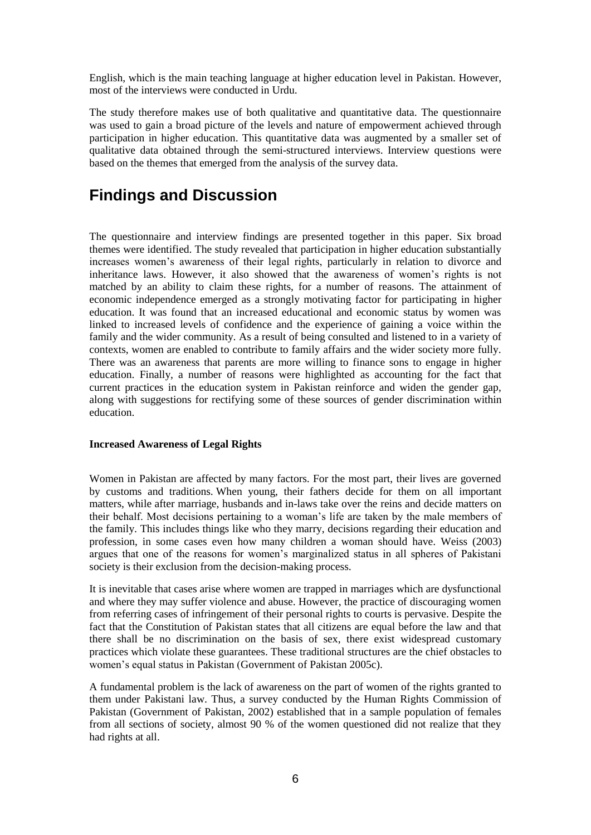English, which is the main teaching language at higher education level in Pakistan. However, most of the interviews were conducted in Urdu.

The study therefore makes use of both qualitative and quantitative data. The questionnaire was used to gain a broad picture of the levels and nature of empowerment achieved through participation in higher education. This quantitative data was augmented by a smaller set of qualitative data obtained through the semi-structured interviews. Interview questions were based on the themes that emerged from the analysis of the survey data.

### **Findings and Discussion**

The questionnaire and interview findings are presented together in this paper. Six broad themes were identified. The study revealed that participation in higher education substantially increases women"s awareness of their legal rights, particularly in relation to divorce and inheritance laws. However, it also showed that the awareness of women"s rights is not matched by an ability to claim these rights, for a number of reasons. The attainment of economic independence emerged as a strongly motivating factor for participating in higher education. It was found that an increased educational and economic status by women was linked to increased levels of confidence and the experience of gaining a voice within the family and the wider community. As a result of being consulted and listened to in a variety of contexts, women are enabled to contribute to family affairs and the wider society more fully. There was an awareness that parents are more willing to finance sons to engage in higher education. Finally, a number of reasons were highlighted as accounting for the fact that current practices in the education system in Pakistan reinforce and widen the gender gap, along with suggestions for rectifying some of these sources of gender discrimination within education.

### **Increased Awareness of Legal Rights**

Women in Pakistan are affected by many factors. For the most part, their lives are governed by customs and traditions. When young, their fathers decide for them on all important matters, while after marriage, husbands and in-laws take over the reins and decide matters on their behalf. Most decisions pertaining to a woman"s life are taken by the male members of the family. This includes things like who they marry, decisions regarding their education and profession, in some cases even how many children a woman should have. Weiss (2003) argues that one of the reasons for women"s marginalized status in all spheres of Pakistani society is their exclusion from the decision-making process.

It is inevitable that cases arise where women are trapped in marriages which are dysfunctional and where they may suffer violence and abuse. However, the practice of discouraging women from referring cases of infringement of their personal rights to courts is pervasive. Despite the fact that the Constitution of Pakistan states that all citizens are equal before the law and that there shall be no discrimination on the basis of sex, there exist widespread customary practices which violate these guarantees. These traditional structures are the chief obstacles to women"s equal status in Pakistan [\(Government of Pakistan](http://www.pakistan.gov.pk/) 2005c).

A fundamental problem is the lack of awareness on the part of women of the rights granted to them under Pakistani law. Thus, a survey conducted by the Human Rights Commission of Pakistan (Government of Pakistan, 2002) established that in a sample population of females from all sections of society, almost 90 % of the women questioned did not realize that they had rights at all.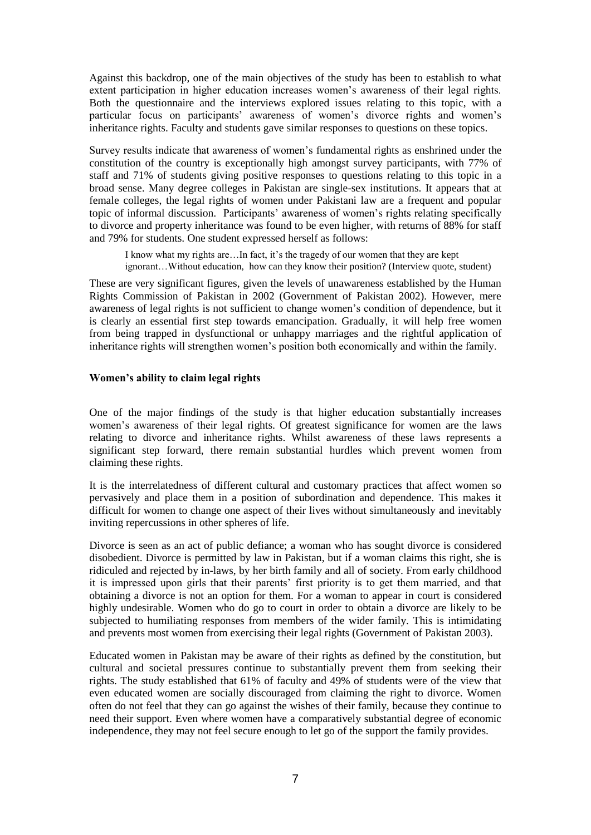Against this backdrop, one of the main objectives of the study has been to establish to what extent participation in higher education increases women"s awareness of their legal rights. Both the questionnaire and the interviews explored issues relating to this topic, with a particular focus on participants' awareness of women's divorce rights and women's inheritance rights. Faculty and students gave similar responses to questions on these topics.

Survey results indicate that awareness of women"s fundamental rights as enshrined under the constitution of the country is exceptionally high amongst survey participants, with 77% of staff and 71% of students giving positive responses to questions relating to this topic in a broad sense. Many degree colleges in Pakistan are single-sex institutions. It appears that at female colleges, the legal rights of women under Pakistani law are a frequent and popular topic of informal discussion. Participants' awareness of women's rights relating specifically to divorce and property inheritance was found to be even higher, with returns of 88% for staff and 79% for students. One student expressed herself as follows:

I know what my rights are...In fact, it's the tragedy of our women that they are kept ignorant…Without education, how can they know their position? (Interview quote, student)

These are very significant figures, given the levels of unawareness established by the Human Rights Commission of Pakistan in 2002 (Government of Pakistan 2002). However, mere awareness of legal rights is not sufficient to change women"s condition of dependence, but it is clearly an essential first step towards emancipation. Gradually, it will help free women from being trapped in dysfunctional or unhappy marriages and the rightful application of inheritance rights will strengthen women"s position both economically and within the family.

### **Women's ability to claim legal rights**

One of the major findings of the study is that higher education substantially increases women's awareness of their legal rights. Of greatest significance for women are the laws relating to divorce and inheritance rights. Whilst awareness of these laws represents a significant step forward, there remain substantial hurdles which prevent women from claiming these rights.

It is the interrelatedness of different cultural and customary practices that affect women so pervasively and place them in a position of subordination and dependence. This makes it difficult for women to change one aspect of their lives without simultaneously and inevitably inviting repercussions in other spheres of life.

Divorce is seen as an act of public defiance; a woman who has sought divorce is considered disobedient. Divorce is permitted by law in Pakistan, but if a woman claims this right, she is ridiculed and rejected by in-laws, by her birth family and all of society. From early childhood it is impressed upon girls that their parents' first priority is to get them married, and that obtaining a divorce is not an option for them. For a woman to appear in court is considered highly undesirable. Women who do go to court in order to obtain a divorce are likely to be subjected to humiliating responses from members of the wider family. This is intimidating and prevents most women from exercising their legal rights (Government of Pakistan 2003).

Educated women in Pakistan may be aware of their rights as defined by the constitution, but cultural and societal pressures continue to substantially prevent them from seeking their rights. The study established that 61% of faculty and 49% of students were of the view that even educated women are socially discouraged from claiming the right to divorce. Women often do not feel that they can go against the wishes of their family, because they continue to need their support. Even where women have a comparatively substantial degree of economic independence, they may not feel secure enough to let go of the support the family provides.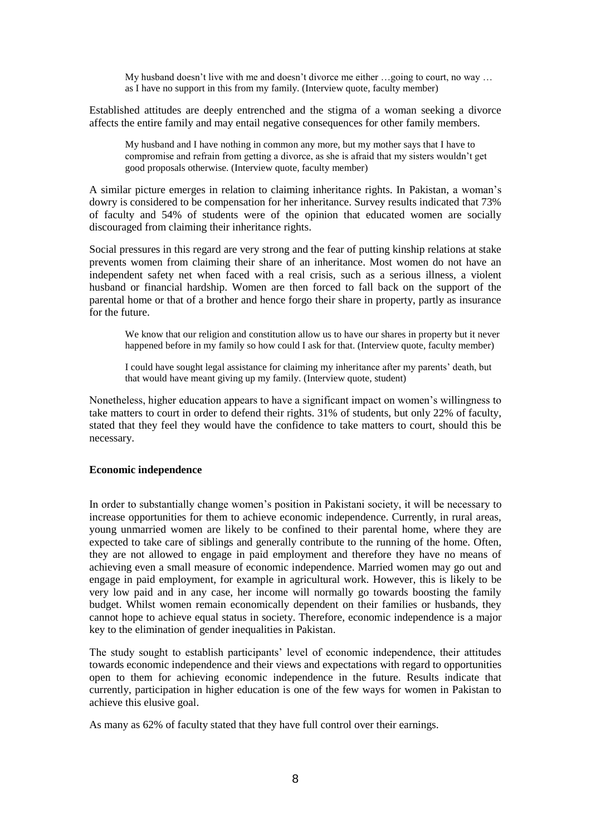My husband doesn"t live with me and doesn"t divorce me either …going to court, no way … as I have no support in this from my family. (Interview quote, faculty member)

Established attitudes are deeply entrenched and the stigma of a woman seeking a divorce affects the entire family and may entail negative consequences for other family members.

My husband and I have nothing in common any more, but my mother says that I have to compromise and refrain from getting a divorce, as she is afraid that my sisters wouldn"t get good proposals otherwise. (Interview quote, faculty member)

A similar picture emerges in relation to claiming inheritance rights. In Pakistan, a woman"s dowry is considered to be compensation for her inheritance. Survey results indicated that 73% of faculty and 54% of students were of the opinion that educated women are socially discouraged from claiming their inheritance rights.

Social pressures in this regard are very strong and the fear of putting kinship relations at stake prevents women from claiming their share of an inheritance. Most women do not have an independent safety net when faced with a real crisis, such as a serious illness, a violent husband or financial hardship. Women are then forced to fall back on the support of the parental home or that of a brother and hence forgo their share in property, partly as insurance for the future.

We know that our religion and constitution allow us to have our shares in property but it never happened before in my family so how could I ask for that. (Interview quote, faculty member)

I could have sought legal assistance for claiming my inheritance after my parents" death, but that would have meant giving up my family. (Interview quote, student)

Nonetheless, higher education appears to have a significant impact on women"s willingness to take matters to court in order to defend their rights. 31% of students, but only 22% of faculty, stated that they feel they would have the confidence to take matters to court, should this be necessary.

#### **Economic independence**

In order to substantially change women"s position in Pakistani society, it will be necessary to increase opportunities for them to achieve economic independence. Currently, in rural areas, young unmarried women are likely to be confined to their parental home, where they are expected to take care of siblings and generally contribute to the running of the home. Often, they are not allowed to engage in paid employment and therefore they have no means of achieving even a small measure of economic independence. Married women may go out and engage in paid employment, for example in agricultural work. However, this is likely to be very low paid and in any case, her income will normally go towards boosting the family budget. Whilst women remain economically dependent on their families or husbands, they cannot hope to achieve equal status in society. Therefore, economic independence is a major key to the elimination of gender inequalities in Pakistan.

The study sought to establish participants' level of economic independence, their attitudes towards economic independence and their views and expectations with regard to opportunities open to them for achieving economic independence in the future. Results indicate that currently, participation in higher education is one of the few ways for women in Pakistan to achieve this elusive goal.

As many as 62% of faculty stated that they have full control over their earnings.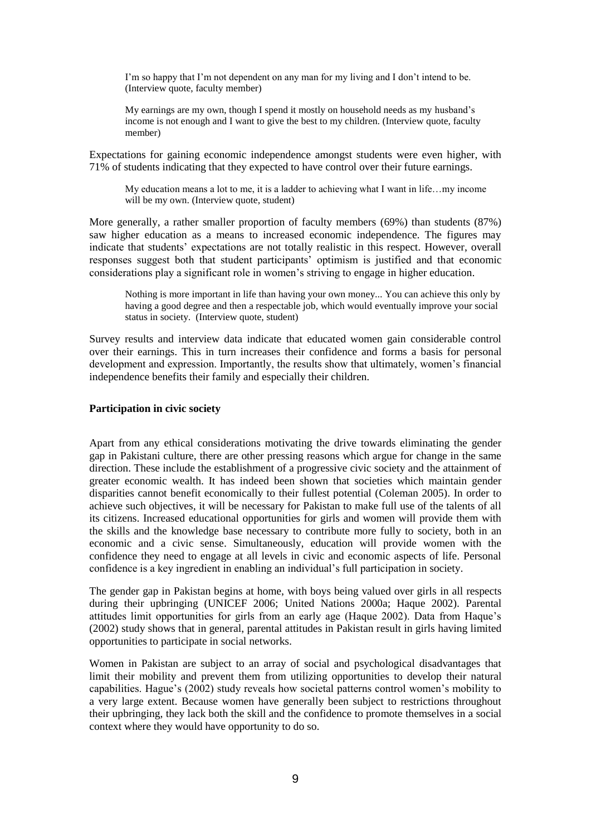I'm so happy that I'm not dependent on any man for my living and I don't intend to be. (Interview quote, faculty member)

My earnings are my own, though I spend it mostly on household needs as my husband"s income is not enough and I want to give the best to my children. (Interview quote, faculty member)

Expectations for gaining economic independence amongst students were even higher, with 71% of students indicating that they expected to have control over their future earnings.

My education means a lot to me, it is a ladder to achieving what I want in life…my income will be my own. (Interview quote, student)

More generally, a rather smaller proportion of faculty members (69%) than students (87%) saw higher education as a means to increased economic independence. The figures may indicate that students" expectations are not totally realistic in this respect. However, overall responses suggest both that student participants" optimism is justified and that economic considerations play a significant role in women"s striving to engage in higher education.

Nothing is more important in life than having your own money... You can achieve this only by having a good degree and then a respectable job, which would eventually improve your social status in society. (Interview quote, student)

Survey results and interview data indicate that educated women gain considerable control over their earnings. This in turn increases their confidence and forms a basis for personal development and expression. Importantly, the results show that ultimately, women"s financial independence benefits their family and especially their children.

#### **Participation in civic society**

Apart from any ethical considerations motivating the drive towards eliminating the gender gap in Pakistani culture, there are other pressing reasons which argue for change in the same direction. These include the establishment of a progressive civic society and the attainment of greater economic wealth. It has indeed been shown that societies which maintain gender disparities cannot benefit economically to their fullest potential (Coleman 2005). In order to achieve such objectives, it will be necessary for Pakistan to make full use of the talents of all its citizens. Increased educational opportunities for girls and women will provide them with the skills and the knowledge base necessary to contribute more fully to society, both in an economic and a civic sense. Simultaneously, education will provide women with the confidence they need to engage at all levels in civic and economic aspects of life. Personal confidence is a key ingredient in enabling an individual"s full participation in society.

The gender gap in Pakistan begins at home, with boys being valued over girls in all respects during their upbringing (UNICEF 2006; United Nations 2000a; Haque 2002). Parental attitudes limit opportunities for girls from an early age (Haque 2002). Data from Haque"s (2002) study shows that in general, parental attitudes in Pakistan result in girls having limited opportunities to participate in social networks.

Women in Pakistan are subject to an array of social and psychological disadvantages that limit their mobility and prevent them from utilizing opportunities to develop their natural capabilities. Hague's (2002) study reveals how societal patterns control women's mobility to a very large extent. Because women have generally been subject to restrictions throughout their upbringing, they lack both the skill and the confidence to promote themselves in a social context where they would have opportunity to do so.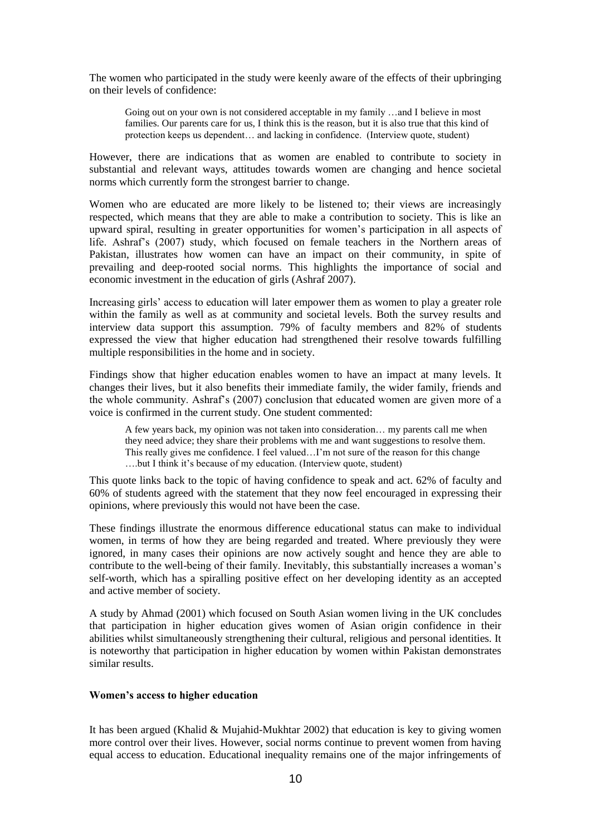The women who participated in the study were keenly aware of the effects of their upbringing on their levels of confidence:

Going out on your own is not considered acceptable in my family ...and I believe in most families. Our parents care for us, I think this is the reason, but it is also true that this kind of protection keeps us dependent… and lacking in confidence. (Interview quote, student)

However, there are indications that as women are enabled to contribute to society in substantial and relevant ways, attitudes towards women are changing and hence societal norms which currently form the strongest barrier to change.

Women who are educated are more likely to be listened to; their views are increasingly respected, which means that they are able to make a contribution to society. This is like an upward spiral, resulting in greater opportunities for women"s participation in all aspects of life. Ashraf"s (2007) study, which focused on female teachers in the Northern areas of Pakistan, illustrates how women can have an impact on their community, in spite of prevailing and deep-rooted social norms. This highlights the importance of social and economic investment in the education of girls (Ashraf 2007).

Increasing girls" access to education will later empower them as women to play a greater role within the family as well as at community and societal levels. Both the survey results and interview data support this assumption. 79% of faculty members and 82% of students expressed the view that higher education had strengthened their resolve towards fulfilling multiple responsibilities in the home and in society.

Findings show that higher education enables women to have an impact at many levels. It changes their lives, but it also benefits their immediate family, the wider family, friends and the whole community. Ashraf"s (2007) conclusion that educated women are given more of a voice is confirmed in the current study. One student commented:

A few years back, my opinion was not taken into consideration… my parents call me when they need advice; they share their problems with me and want suggestions to resolve them. This really gives me confidence. I feel valued…I"m not sure of the reason for this change ….but I think it"s because of my education. (Interview quote, student)

This quote links back to the topic of having confidence to speak and act. 62% of faculty and 60% of students agreed with the statement that they now feel encouraged in expressing their opinions, where previously this would not have been the case.

These findings illustrate the enormous difference educational status can make to individual women, in terms of how they are being regarded and treated. Where previously they were ignored, in many cases their opinions are now actively sought and hence they are able to contribute to the well-being of their family. Inevitably, this substantially increases a woman"s self-worth, which has a spiralling positive effect on her developing identity as an accepted and active member of society.

A study by Ahmad (2001) which focused on South Asian women living in the UK concludes that participation in higher education gives women of Asian origin confidence in their abilities whilst simultaneously strengthening their cultural, religious and personal identities. It is noteworthy that participation in higher education by women within Pakistan demonstrates similar results.

#### **Women's access to higher education**

It has been argued (Khalid & Mujahid-Mukhtar 2002) that education is key to giving women more control over their lives. However, social norms continue to prevent women from having equal access to education. Educational inequality remains one of the major infringements of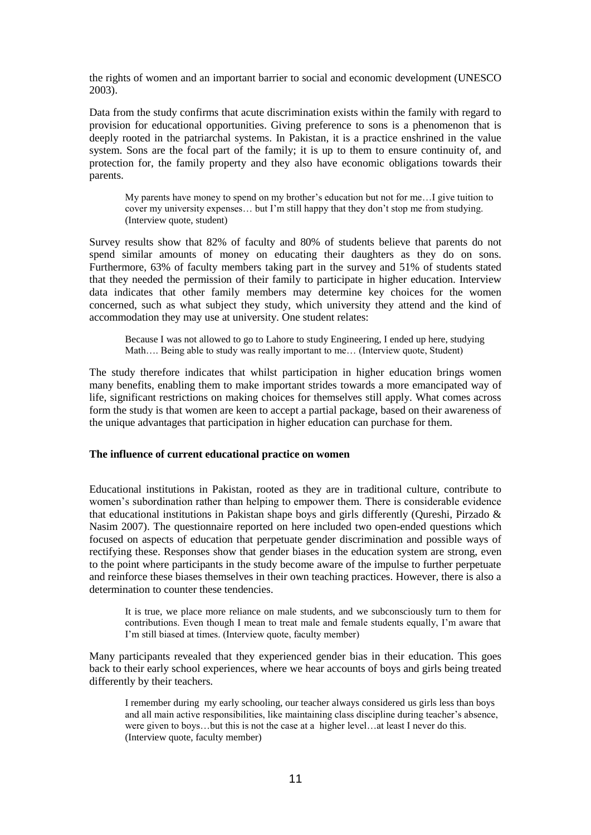the rights of women and an important barrier to social and economic development (UNESCO 2003).

Data from the study confirms that acute discrimination exists within the family with regard to provision for educational opportunities. Giving preference to sons is a phenomenon that is deeply rooted in the patriarchal systems. In Pakistan, it is a practice enshrined in the value system. Sons are the focal part of the family; it is up to them to ensure continuity of, and protection for, the family property and they also have economic obligations towards their parents.

My parents have money to spend on my brother"s education but not for me…I give tuition to cover my university expenses… but I"m still happy that they don"t stop me from studying. (Interview quote, student)

Survey results show that 82% of faculty and 80% of students believe that parents do not spend similar amounts of money on educating their daughters as they do on sons. Furthermore, 63% of faculty members taking part in the survey and 51% of students stated that they needed the permission of their family to participate in higher education. Interview data indicates that other family members may determine key choices for the women concerned, such as what subject they study, which university they attend and the kind of accommodation they may use at university. One student relates:

Because I was not allowed to go to Lahore to study Engineering, I ended up here, studying Math…. Being able to study was really important to me… (Interview quote, Student)

The study therefore indicates that whilst participation in higher education brings women many benefits, enabling them to make important strides towards a more emancipated way of life, significant restrictions on making choices for themselves still apply. What comes across form the study is that women are keen to accept a partial package, based on their awareness of the unique advantages that participation in higher education can purchase for them.

### **The influence of current educational practice on women**

Educational institutions in Pakistan, rooted as they are in traditional culture, contribute to women"s subordination rather than helping to empower them. There is considerable evidence that educational institutions in Pakistan shape boys and girls differently (Qureshi, Pirzado & Nasim 2007). The questionnaire reported on here included two open-ended questions which focused on aspects of education that perpetuate gender discrimination and possible ways of rectifying these. Responses show that gender biases in the education system are strong, even to the point where participants in the study become aware of the impulse to further perpetuate and reinforce these biases themselves in their own teaching practices. However, there is also a determination to counter these tendencies.

It is true, we place more reliance on male students, and we subconsciously turn to them for contributions. Even though I mean to treat male and female students equally, I"m aware that I'm still biased at times. (Interview quote, faculty member)

Many participants revealed that they experienced gender bias in their education. This goes back to their early school experiences, where we hear accounts of boys and girls being treated differently by their teachers.

I remember during my early schooling, our teacher always considered us girls less than boys and all main active responsibilities, like maintaining class discipline during teacher"s absence, were given to boys…but this is not the case at a higher level…at least I never do this. (Interview quote, faculty member)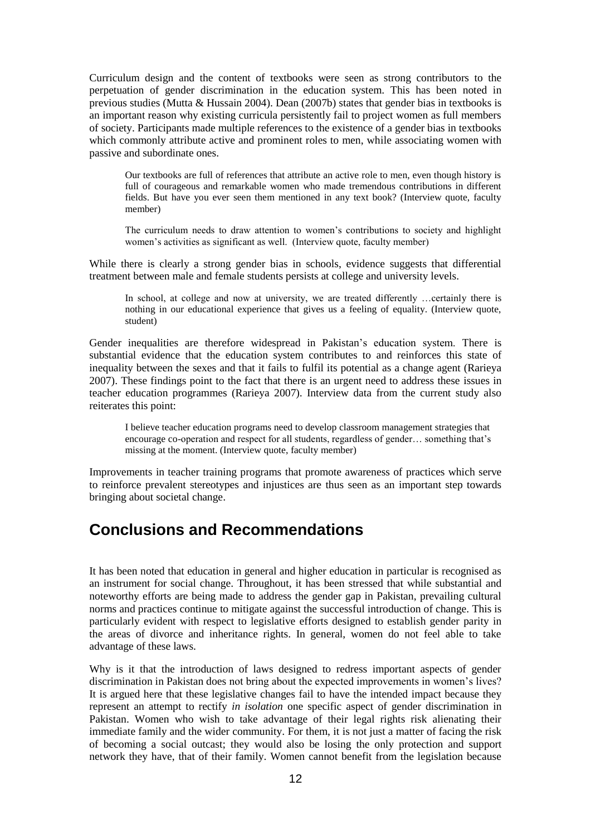Curriculum design and the content of textbooks were seen as strong contributors to the perpetuation of gender discrimination in the education system. This has been noted in previous studies (Mutta & Hussain 2004). Dean (2007b) states that gender bias in textbooks is an important reason why existing curricula persistently fail to project women as full members of society. Participants made multiple references to the existence of a gender bias in textbooks which commonly attribute active and prominent roles to men, while associating women with passive and subordinate ones.

Our textbooks are full of references that attribute an active role to men, even though history is full of courageous and remarkable women who made tremendous contributions in different fields. But have you ever seen them mentioned in any text book? (Interview quote, faculty member)

The curriculum needs to draw attention to women"s contributions to society and highlight women's activities as significant as well. (Interview quote, faculty member)

While there is clearly a strong gender bias in schools, evidence suggests that differential treatment between male and female students persists at college and university levels.

In school, at college and now at university, we are treated differently …certainly there is nothing in our educational experience that gives us a feeling of equality. (Interview quote, student)

Gender inequalities are therefore widespread in Pakistan"s education system. There is substantial evidence that the education system contributes to and reinforces this state of inequality between the sexes and that it fails to fulfil its potential as a change agent (Rarieya 2007). These findings point to the fact that there is an urgent need to address these issues in teacher education programmes (Rarieya 2007). Interview data from the current study also reiterates this point:

I believe teacher education programs need to develop classroom management strategies that encourage co-operation and respect for all students, regardless of gender… something that"s missing at the moment. (Interview quote, faculty member)

Improvements in teacher training programs that promote awareness of practices which serve to reinforce prevalent stereotypes and injustices are thus seen as an important step towards bringing about societal change.

### **Conclusions and Recommendations**

It has been noted that education in general and higher education in particular is recognised as an instrument for social change. Throughout, it has been stressed that while substantial and noteworthy efforts are being made to address the gender gap in Pakistan, prevailing cultural norms and practices continue to mitigate against the successful introduction of change. This is particularly evident with respect to legislative efforts designed to establish gender parity in the areas of divorce and inheritance rights. In general, women do not feel able to take advantage of these laws.

Why is it that the introduction of laws designed to redress important aspects of gender discrimination in Pakistan does not bring about the expected improvements in women's lives? It is argued here that these legislative changes fail to have the intended impact because they represent an attempt to rectify *in isolation* one specific aspect of gender discrimination in Pakistan. Women who wish to take advantage of their legal rights risk alienating their immediate family and the wider community. For them, it is not just a matter of facing the risk of becoming a social outcast; they would also be losing the only protection and support network they have, that of their family. Women cannot benefit from the legislation because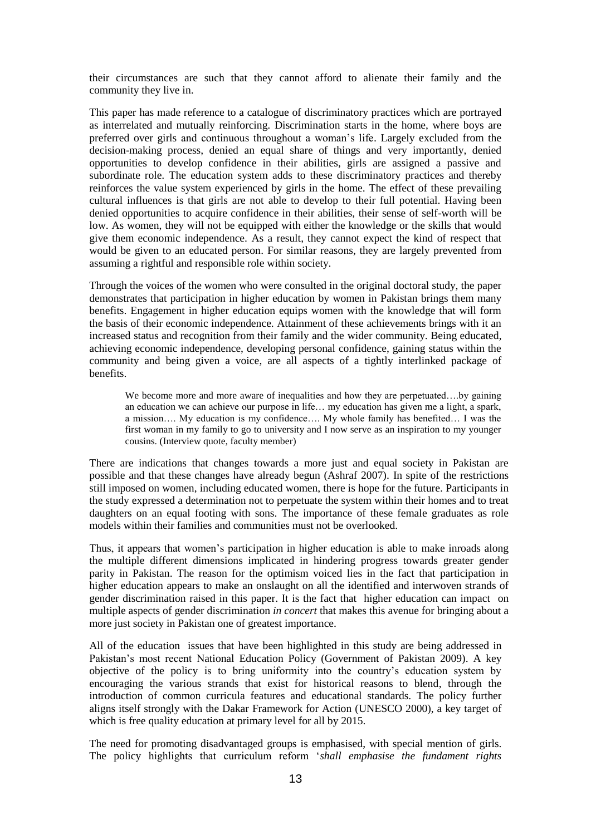their circumstances are such that they cannot afford to alienate their family and the community they live in.

This paper has made reference to a catalogue of discriminatory practices which are portrayed as interrelated and mutually reinforcing. Discrimination starts in the home, where boys are preferred over girls and continuous throughout a woman"s life. Largely excluded from the decision-making process, denied an equal share of things and very importantly, denied opportunities to develop confidence in their abilities, girls are assigned a passive and subordinate role. The education system adds to these discriminatory practices and thereby reinforces the value system experienced by girls in the home. The effect of these prevailing cultural influences is that girls are not able to develop to their full potential. Having been denied opportunities to acquire confidence in their abilities, their sense of self-worth will be low. As women, they will not be equipped with either the knowledge or the skills that would give them economic independence. As a result, they cannot expect the kind of respect that would be given to an educated person. For similar reasons, they are largely prevented from assuming a rightful and responsible role within society.

Through the voices of the women who were consulted in the original doctoral study, the paper demonstrates that participation in higher education by women in Pakistan brings them many benefits. Engagement in higher education equips women with the knowledge that will form the basis of their economic independence. Attainment of these achievements brings with it an increased status and recognition from their family and the wider community. Being educated, achieving economic independence, developing personal confidence, gaining status within the community and being given a voice, are all aspects of a tightly interlinked package of benefits.

We become more and more aware of inequalities and how they are perpetuated….by gaining an education we can achieve our purpose in life… my education has given me a light, a spark, a mission…. My education is my confidence…. My whole family has benefited… I was the first woman in my family to go to university and I now serve as an inspiration to my younger cousins. (Interview quote, faculty member)

There are indications that changes towards a more just and equal society in Pakistan are possible and that these changes have already begun (Ashraf 2007). In spite of the restrictions still imposed on women, including educated women, there is hope for the future. Participants in the study expressed a determination not to perpetuate the system within their homes and to treat daughters on an equal footing with sons. The importance of these female graduates as role models within their families and communities must not be overlooked.

Thus, it appears that women"s participation in higher education is able to make inroads along the multiple different dimensions implicated in hindering progress towards greater gender parity in Pakistan. The reason for the optimism voiced lies in the fact that participation in higher education appears to make an onslaught on all the identified and interwoven strands of gender discrimination raised in this paper. It is the fact that higher education can impact on multiple aspects of gender discrimination *in concert* that makes this avenue for bringing about a more just society in Pakistan one of greatest importance.

All of the education issues that have been highlighted in this study are being addressed in Pakistan"s most recent National Education Policy (Government of Pakistan 2009). A key objective of the policy is to bring uniformity into the country"s education system by encouraging the various strands that exist for historical reasons to blend, through the introduction of common curricula features and educational standards. The policy further aligns itself strongly with the Dakar Framework for Action (UNESCO 2000), a key target of which is free quality education at primary level for all by 2015.

The need for promoting disadvantaged groups is emphasised, with special mention of girls. The policy highlights that curriculum reform "*shall emphasise the fundament rights*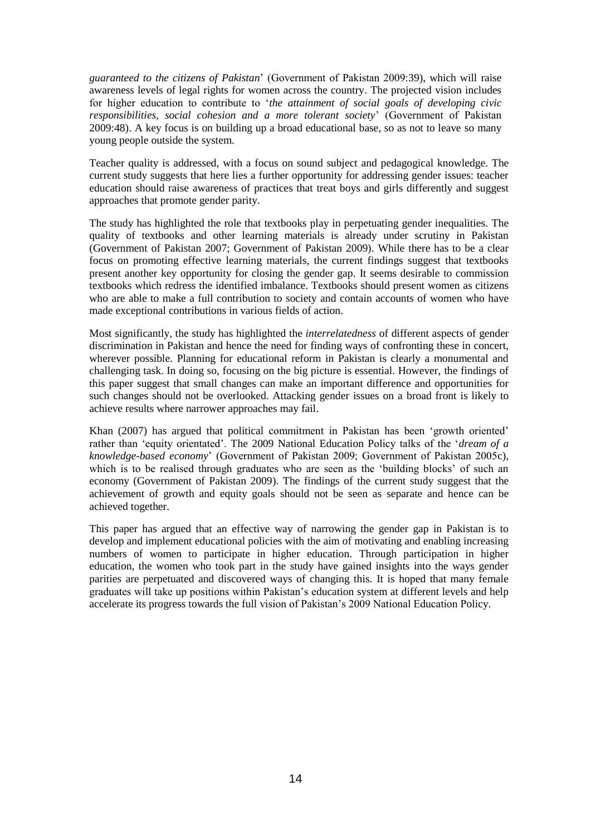*guaranteed to the citizens of Pakistan*" (Government of Pakistan 2009:39), which will raise awareness levels of legal rights for women across the country. The projected vision includes for higher education to contribute to "*the attainment of social goals of developing civic responsibilities, social cohesion and a more tolerant society*" (Government of Pakistan 2009:48). A key focus is on building up a broad educational base, so as not to leave so many young people outside the system.

Teacher quality is addressed, with a focus on sound subject and pedagogical knowledge. The current study suggests that here lies a further opportunity for addressing gender issues: teacher education should raise awareness of practices that treat boys and girls differently and suggest approaches that promote gender parity.

The study has highlighted the role that textbooks play in perpetuating gender inequalities. The quality of textbooks and other learning materials is already under scrutiny in Pakistan (Government of Pakistan 2007; Government of Pakistan 2009). While there has to be a clear focus on promoting effective learning materials, the current findings suggest that textbooks present another key opportunity for closing the gender gap. It seems desirable to commission textbooks which redress the identified imbalance. Textbooks should present women as citizens who are able to make a full contribution to society and contain accounts of women who have made exceptional contributions in various fields of action.

Most significantly, the study has highlighted the *interrelatedness* of different aspects of gender discrimination in Pakistan and hence the need for finding ways of confronting these in concert, wherever possible. Planning for educational reform in Pakistan is clearly a monumental and challenging task. In doing so, focusing on the big picture is essential. However, the findings of this paper suggest that small changes can make an important difference and opportunities for such changes should not be overlooked. Attacking gender issues on a broad front is likely to achieve results where narrower approaches may fail.

Khan (2007) has argued that political commitment in Pakistan has been 'growth oriented' rather than "equity orientated". The 2009 National Education Policy talks of the "*dream of a knowledge-based economy*" (Government of Pakistan 2009; Government of Pakistan 2005c), which is to be realised through graduates who are seen as the 'building blocks' of such an economy (Government of Pakistan 2009). The findings of the current study suggest that the achievement of growth and equity goals should not be seen as separate and hence can be achieved together.

This paper has argued that an effective way of narrowing the gender gap in Pakistan is to develop and implement educational policies with the aim of motivating and enabling increasing numbers of women to participate in higher education. Through participation in higher education, the women who took part in the study have gained insights into the ways gender parities are perpetuated and discovered ways of changing this. It is hoped that many female graduates will take up positions within Pakistan"s education system at different levels and help accelerate its progress towards the full vision of Pakistan"s 2009 National Education Policy.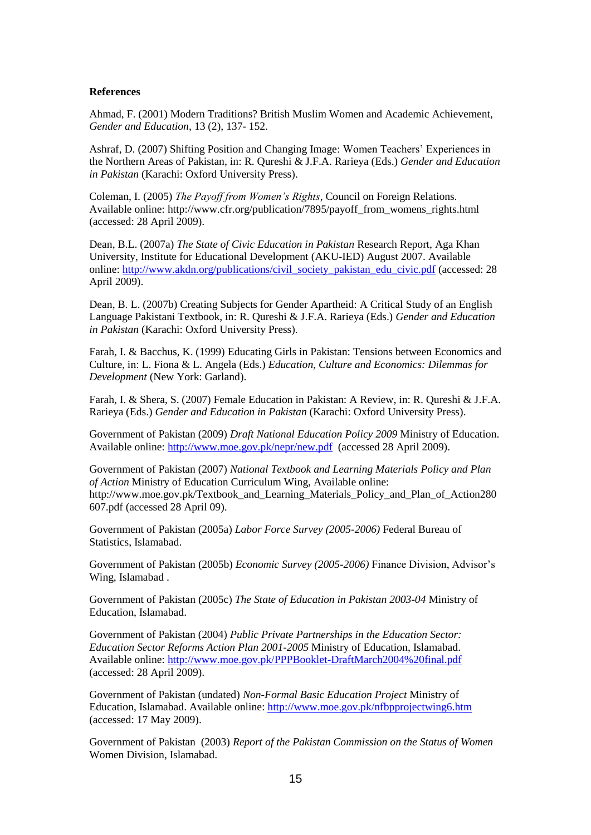### **References**

Ahmad, F. (2001) Modern Traditions? British Muslim Women and Academic Achievement, *Gender and Education*, 13 (2), 137- 152.

Ashraf, D. (2007) Shifting Position and Changing Image: Women Teachers" Experiences in the Northern Areas of Pakistan, in: R. Qureshi & J.F.A. Rarieya (Eds.) *Gender and Education in Pakistan* (Karachi: Oxford University Press).

Coleman, I. (2005) *The Payoff from Women's Rights*, Council on Foreign Relations. Available online: [http://www.cfr.org/publication/7895/payoff\\_from\\_womens\\_rights.html](http://www.cfr.org/publication/7895/payoff_from_womens_rights.html) (accessed: 28 April 2009).

Dean, B.L. (2007a) *The State of Civic Education in Pakistan* Research Report, Aga Khan University, Institute for Educational Development (AKU-IED) August 2007. Available online: [http://www.akdn.org/publications/civil\\_society\\_pakistan\\_edu\\_civic.pdf](http://www.akdn.org/publications/civil_society_pakistan_edu_civic.pdf) (accessed: 28 April 2009).

Dean, B. L. (2007b) Creating Subjects for Gender Apartheid: A Critical Study of an English Language Pakistani Textbook, in: R. Qureshi & J.F.A. Rarieya (Eds.) *Gender and Education in Pakistan* (Karachi: Oxford University Press).

Farah, I. & Bacchus, K. (1999) Educating Girls in Pakistan: Tensions between Economics and Culture, in: L. Fiona & L. Angela (Eds.) *Education, Culture and Economics: Dilemmas for Development* (New York: Garland).

Farah, I. & Shera, S. (2007) Female Education in Pakistan: A Review, in: R. Qureshi & J.F.A. Rarieya (Eds.) *Gender and Education in Pakistan* (Karachi: Oxford University Press).

Government of Pakistan (2009) *Draft National Education Policy 2009* Ministry of Education. Available online:<http://www.moe.gov.pk/nepr/new.pdf> (accessed 28 April 2009).

Government of Pakistan (2007) *National Textbook and Learning Materials Policy and Plan of Action* Ministry of Education Curriculum Wing, Available online: [http://www.moe.gov.pk/Textbook\\_and\\_Learning\\_Materials\\_Policy\\_and\\_Plan\\_of\\_Action280](http://www.moe.gov.pk/Textbook_and_Learning_Materials_Policy_and_Plan_of_Action280607.pdf) [607.pdf](http://www.moe.gov.pk/Textbook_and_Learning_Materials_Policy_and_Plan_of_Action280607.pdf) (accessed 28 April 09).

[Government of Pakistan](http://www.pakistan.gov.pk/) (2005a) *Labor Force Survey (2005-2006)* Federal Bureau of Statistics, Islamabad.

[Government of Pakistan \(](http://www.pakistan.gov.pk/)2005b) *Economic Survey (2005-2006)* Finance Division, Advisor"s Wing, Islamabad .

[Government of Pakistan](http://www.pakistan.gov.pk/) (2005c) *The State of Education in Pakistan 2003-04* Ministry of Education, Islamabad.

Government of Pakistan (2004) *Public Private Partnerships in the Education Sector: Education Sector Reforms Action Plan 2001-2005* Ministry of Education, Islamabad. Available online:<http://www.moe.gov.pk/PPPBooklet-DraftMarch2004%20final.pdf> (accessed: 28 April 2009).

Government of Pakistan (undated) *Non-Formal Basic Education Project* Ministry of Education, Islamabad. Available online:<http://www.moe.gov.pk/nfbpprojectwing6.htm> (accessed: 17 May 2009).

Government of Pakistan (2003) *Report of the Pakistan Commission on the Status of Women* Women Division, Islamabad.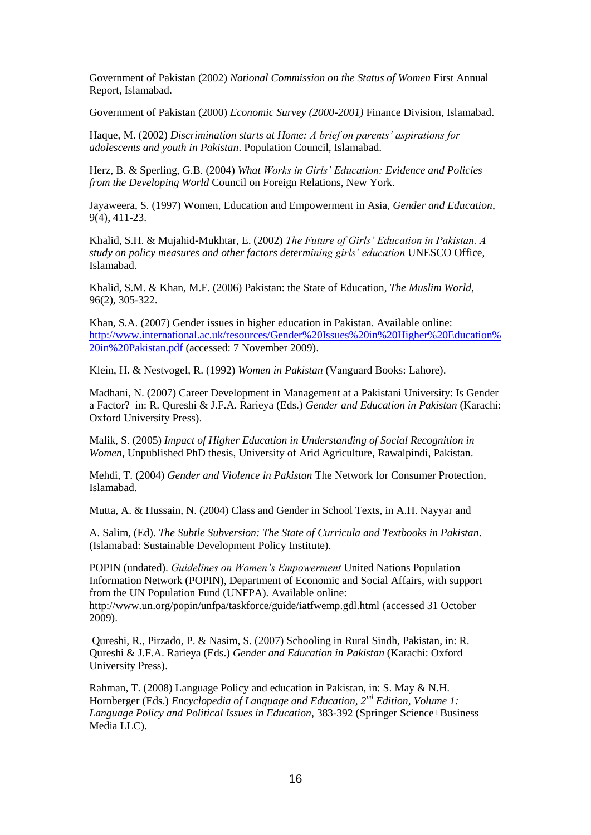Government of Pakistan (2002) *National Commission on the Status of Women* First Annual Report, Islamabad.

[Government of Pakistan \(](http://www.pakistan.gov.pk/)2000) *Economic Survey (2000-2001)* Finance Division, Islamabad.

Haque, M. (2002) *Discrimination starts at Home: A brief on parents' aspirations for adolescents and youth in Pakistan*. Population Council, Islamabad.

Herz, B. & Sperling, G.B. (2004) *What Works in Girls' Education: Evidence and Policies from the Developing World* Council on Foreign Relations, New York.

Jayaweera, S. (1997) Women, Education and Empowerment in Asia, *Gender and Education*, 9(4), 411-23.

Khalid, S.H. & Mujahid-Mukhtar, E. (2002) *The Future of Girls' Education in Pakistan. A study on policy measures and other factors determining girls' education* UNESCO Office, Islamabad.

Khalid, S.M. & Khan, M.F. (2006) Pakistan: the State of Education, *The Muslim World,* 96(2), 305-322.

Khan, S.A. (2007) Gender issues in higher education in Pakistan. Available online: [http://www.international.ac.uk/resources/Gender%20Issues%20in%20Higher%20Education%](http://www.international.ac.uk/resources/Gender%20Issues%20in%20Higher%20Education%20in%20Pakistan.pdf) [20in%20Pakistan.pdf](http://www.international.ac.uk/resources/Gender%20Issues%20in%20Higher%20Education%20in%20Pakistan.pdf) (accessed: 7 November 2009).

Klein, H. & Nestvogel, R. (1992) *Women in Pakistan* (Vanguard Books: Lahore).

Madhani, N. (2007) Career Development in Management at a Pakistani University: Is Gender a Factor? in: R. Qureshi & J.F.A. Rarieya (Eds.) *Gender and Education in Pakistan* (Karachi: Oxford University Press).

Malik, S. (2005) *Impact of Higher Education in Understanding of Social Recognition in Women*, Unpublished PhD thesis, University of Arid Agriculture, Rawalpindi, Pakistan.

Mehdi, T. (2004) *Gender and Violence in Pakistan* The Network for Consumer Protection, Islamabad.

Mutta, A. & Hussain, N. (2004) Class and Gender in School Texts, in A.H. Nayyar and

A. Salim, (Ed). *The Subtle Subversion: The State of Curricula and Textbooks in Pakistan*. (Islamabad: Sustainable Development Policy Institute).

POPIN (undated). *Guidelines on Women's Empowerment* United Nations Population Information Network (POPIN), Department of Economic and Social Affairs, with support from the UN Population Fund (UNFPA). Available online: <http://www.un.org/popin/unfpa/taskforce/guide/iatfwemp.gdl.html> (accessed 31 October 2009).

Qureshi, R., Pirzado, P. & Nasim, S. (2007) Schooling in Rural Sindh, Pakistan, in: R. Qureshi & J.F.A. Rarieya (Eds.) *Gender and Education in Pakistan* (Karachi: Oxford University Press).

Rahman, T. (2008) Language Policy and education in Pakistan, in: S. May & N.H. Hornberger (Eds.) *Encyclopedia of Language and Education, 2nd Edition, Volume 1: Language Policy and Political Issues in Education*, 383-392 (Springer Science+Business Media LLC).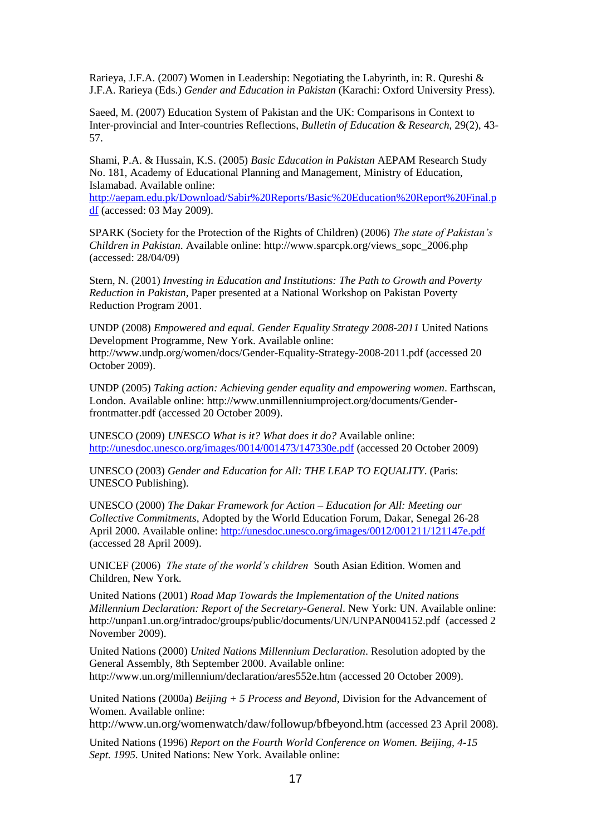Rarieya, J.F.A. (2007) Women in Leadership: Negotiating the Labyrinth, in: R. Qureshi & J.F.A. Rarieya (Eds.) *Gender and Education in Pakistan* (Karachi: Oxford University Press).

Saeed, M. (2007) Education System of Pakistan and the UK: Comparisons in Context to Inter-provincial and Inter-countries Reflections, *Bulletin of Education & Research,* 29(2), 43- 57.

Shami, P.A. & Hussain, K.S. (2005) *Basic Education in Pakistan* AEPAM Research Study No. 181, Academy of Educational Planning and Management, Ministry of Education, Islamabad. Available online:

[http://aepam.edu.pk/Download/Sabir%20Reports/Basic%20Education%20Report%20Final.p](http://aepam.edu.pk/Download/Sabir%20Reports/Basic%20Education%20Report%20Final.pdf) [df](http://aepam.edu.pk/Download/Sabir%20Reports/Basic%20Education%20Report%20Final.pdf) (accessed: 03 May 2009).

SPARK (Society for the Protection of the Rights of Children) (2006) *The state of Pakistan's Children in Pakistan*. Available online: [http://www.sparcpk.org/views\\_sopc\\_2006.php](http://www.sparcpk.org/views_sopc_2006.php) (accessed: 28/04/09)

Stern, N. (2001) *Investing in Education and Institutions: The Path to Growth and Poverty Reduction in Pakistan*, Paper presented at a National Workshop on Pakistan Poverty Reduction Program 2001.

UNDP (2008) *Empowered and equal. Gender Equality Strategy 2008-2011* United Nations Development Programme, New York. Available online: <http://www.undp.org/women/docs/Gender-Equality-Strategy-2008-2011.pdf> (accessed 20 October 2009).

UNDP (2005) *Taking action: Achieving gender equality and empowering women*. Earthscan, London. Available online: [http://www.unmillenniumproject.org/documents/Gender](http://www.unmillenniumproject.org/documents/Gender-frontmatter.pdf)[frontmatter.pdf](http://www.unmillenniumproject.org/documents/Gender-frontmatter.pdf) (accessed 20 October 2009).

UNESCO (2009) *UNESCO What is it? What does it do?* Available online: <http://unesdoc.unesco.org/images/0014/001473/147330e.pdf> (accessed 20 October 2009)

UNESCO (2003) *Gender and Education for All: THE LEAP TO EQUALITY*. (Paris: UNESCO Publishing).

UNESCO (2000) *The Dakar Framework for Action – Education for All: Meeting our Collective Commitments*, Adopted by the World Education Forum, Dakar, Senegal 26-28 April 2000. Available online:<http://unesdoc.unesco.org/images/0012/001211/121147e.pdf> (accessed 28 April 2009).

UNICEF (2006) *The state of the world's children* South Asian Edition. Women and Children, New York.

United Nations (2001) *Road Map Towards the Implementation of the United nations Millennium Declaration: Report of the Secretary-General*. New York: UN. Available online: <http://unpan1.un.org/intradoc/groups/public/documents/UN/UNPAN004152.pdf>(accessed 2 November 2009).

United Nations (2000) *United Nations Millennium Declaration*. Resolution adopted by the General Assembly, 8th September 2000. Available online: <http://www.un.org/millennium/declaration/ares552e.htm> (accessed 20 October 2009).

United Nations (2000a) *Beijing + 5 Process and Beyond*, Division for the Advancement of Women. Available online:

<http://www.un.org/womenwatch/daw/followup/bfbeyond.htm> (accessed 23 April 2008).

United Nations (1996) *Report on the Fourth World Conference on Women. Beijing, 4-15 Sept. 1995.* United Nations: New York. Available online: